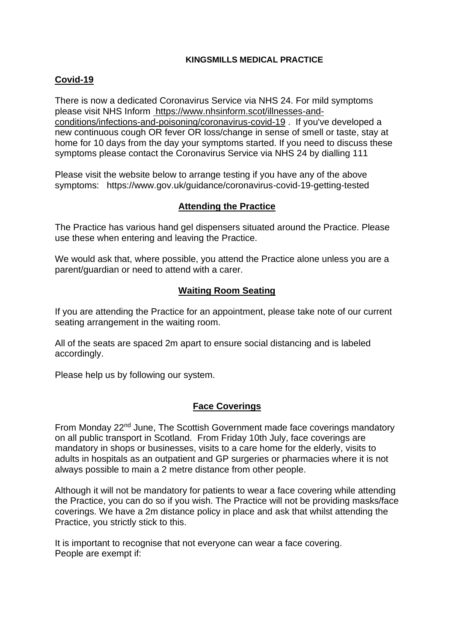#### **KINGSMILLS MEDICAL PRACTICE**

# **Covid-19**

There is now a dedicated Coronavirus Service via NHS 24. For mild symptoms please visit NHS Inform [https://www.nhsinform.scot/illnesses-and](https://www.nhsinform.scot/illnesses-and-conditions/infections-and-poisoning/coronavirus-covid-19)[conditions/infections-and-poisoning/coronavirus-covid-19](https://www.nhsinform.scot/illnesses-and-conditions/infections-and-poisoning/coronavirus-covid-19) . If you've developed a new continuous cough OR fever OR loss/change in sense of smell or taste, stay at home for 10 days from the day your symptoms started. If you need to discuss these symptoms please contact the Coronavirus Service via NHS 24 by dialling 111

Please visit the website below to arrange testing if you have any of the above symptoms: https://www.gov.uk/guidance/coronavirus-covid-19-getting-tested

## **Attending the Practice**

The Practice has various hand gel dispensers situated around the Practice. Please use these when entering and leaving the Practice.

We would ask that, where possible, you attend the Practice alone unless you are a parent/guardian or need to attend with a carer.

## **Waiting Room Seating**

If you are attending the Practice for an appointment, please take note of our current seating arrangement in the waiting room.

All of the seats are spaced 2m apart to ensure social distancing and is labeled accordingly.

Please help us by following our system.

#### **Face Coverings**

From Monday 22<sup>nd</sup> June, The Scottish Government made face coverings mandatory on all public transport in Scotland. From Friday 10th July, face coverings are mandatory in shops or businesses, visits to a care home for the elderly, visits to adults in hospitals as an outpatient and GP surgeries or pharmacies where it is not always possible to main a 2 metre distance from other people.

Although it will not be mandatory for patients to wear a face covering while attending the Practice, you can do so if you wish. The Practice will not be providing masks/face coverings. We have a 2m distance policy in place and ask that whilst attending the Practice, you strictly stick to this.

It is important to recognise that not everyone can wear a face covering. People are exempt if: